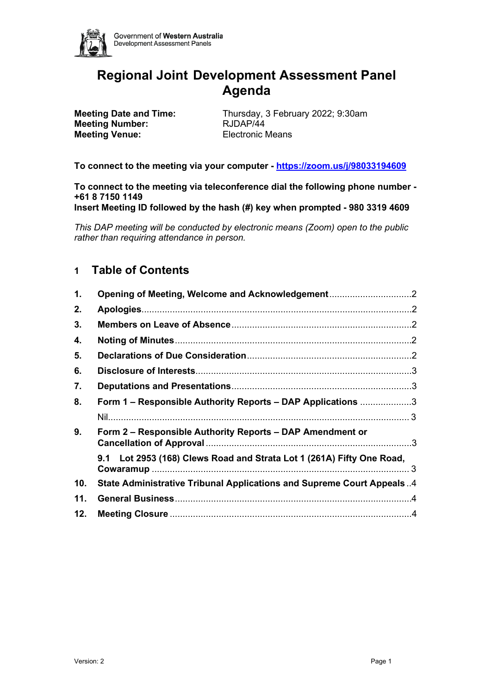

# **Regional Joint Development Assessment Panel Agenda**

**Meeting Number:** RJDAP/44 **Meeting Venue:** Electronic Means

**Meeting Date and Time:** Thursday, 3 February 2022; 9:30am

**To connect to the meeting via your computer - <https://zoom.us/j/98033194609>**

**To connect to the meeting via teleconference dial the following phone number - +61 8 7150 1149**

**Insert Meeting ID followed by the hash (#) key when prompted - 980 3319 4609**

*This DAP meeting will be conducted by electronic means (Zoom) open to the public rather than requiring attendance in person.*

## **1 Table of Contents**

| 1.  |                                                                       |  |
|-----|-----------------------------------------------------------------------|--|
| 2.  |                                                                       |  |
| 3.  |                                                                       |  |
| 4.  |                                                                       |  |
| 5.  |                                                                       |  |
| 6.  |                                                                       |  |
| 7.  |                                                                       |  |
| 8.  | Form 1 - Responsible Authority Reports - DAP Applications 3           |  |
|     |                                                                       |  |
| 9.  | Form 2 – Responsible Authority Reports – DAP Amendment or             |  |
|     | 9.1 Lot 2953 (168) Clews Road and Strata Lot 1 (261A) Fifty One Road, |  |
| 10. | State Administrative Tribunal Applications and Supreme Court Appeals4 |  |
| 11. |                                                                       |  |
| 12. |                                                                       |  |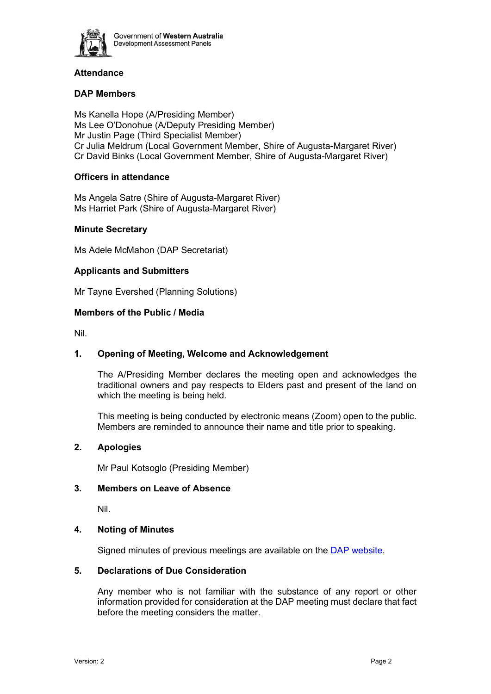

## **Attendance**

## **DAP Members**

Ms Kanella Hope (A/Presiding Member) Ms Lee O'Donohue (A/Deputy Presiding Member) Mr Justin Page (Third Specialist Member) Cr Julia Meldrum (Local Government Member, Shire of Augusta-Margaret River) Cr David Binks (Local Government Member, Shire of Augusta-Margaret River)

## **Officers in attendance**

Ms Angela Satre (Shire of Augusta-Margaret River) Ms Harriet Park (Shire of Augusta-Margaret River)

## **Minute Secretary**

Ms Adele McMahon (DAP Secretariat)

## **Applicants and Submitters**

Mr Tayne Evershed (Planning Solutions)

## <span id="page-1-0"></span>**Members of the Public / Media**

Nil.

## **1. Opening of Meeting, Welcome and Acknowledgement**

The A/Presiding Member declares the meeting open and acknowledges the traditional owners and pay respects to Elders past and present of the land on which the meeting is being held.

<span id="page-1-1"></span>This meeting is being conducted by electronic means (Zoom) open to the public. Members are reminded to announce their name and title prior to speaking.

## <span id="page-1-2"></span>**2. Apologies**

Mr Paul Kotsoglo (Presiding Member)

## <span id="page-1-3"></span>**3. Members on Leave of Absence**

Nil.

## <span id="page-1-4"></span>**4. Noting of Minutes**

Signed minutes of previous meetings are available on the DAP website.

## **5. Declarations of Due Consideration**

Any member who is not familiar with the substance of any report or other information provided for consideration at the DAP meeting must declare that fact before the meeting considers the matter.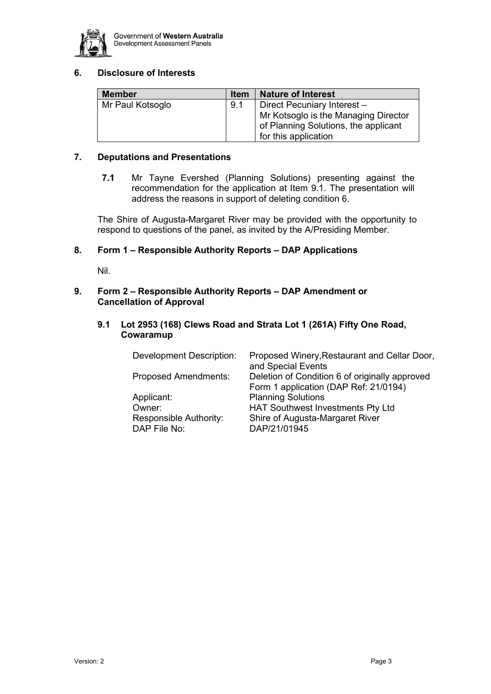

## <span id="page-2-0"></span>**6. Disclosure of Interests**

| <b>Member</b>    | <b>Item</b> | <b>Nature of Interest</b>                                                                            |
|------------------|-------------|------------------------------------------------------------------------------------------------------|
| Mr Paul Kotsoglo | 9.1         | Direct Pecuniary Interest -                                                                          |
|                  |             | Mr Kotsoglo is the Managing Director<br>of Planning Solutions, the applicant<br>for this application |

## <span id="page-2-1"></span>**7. Deputations and Presentations**

**7.1** Mr Tayne Evershed (Planning Solutions) presenting against the recommendation for the application at Item 9.1. The presentation will address the reasons in support of deleting condition 6.

<span id="page-2-2"></span>The Shire of Augusta-Margaret River may be provided with the opportunity to respond to questions of the panel, as invited by the A/Presiding Member.

## <span id="page-2-4"></span><span id="page-2-3"></span>**8. Form 1 – Responsible Authority Reports – DAP Applications**

Nil.

## <span id="page-2-5"></span>**9. Form 2 – [Responsible Authority Reports –](#page-12-1) DAP Amendment or Cancellation of Approval**

**9.1 Lot 2953 (168) Clews Road and Strata Lot 1 (261A) Fifty One Road, Cowaramup**

<span id="page-2-8"></span><span id="page-2-7"></span><span id="page-2-6"></span>

| <b>Development Description:</b>        | Proposed Winery, Restaurant and Cellar Door,<br>and Special Events                      |
|----------------------------------------|-----------------------------------------------------------------------------------------|
| <b>Proposed Amendments:</b>            | Deletion of Condition 6 of originally approved<br>Form 1 application (DAP Ref: 21/0194) |
| Applicant:                             | <b>Planning Solutions</b>                                                               |
| Owner:                                 | <b>HAT Southwest Investments Pty Ltd</b>                                                |
| Responsible Authority:<br>DAP File No: | Shire of Augusta-Margaret River<br>DAP/21/01945                                         |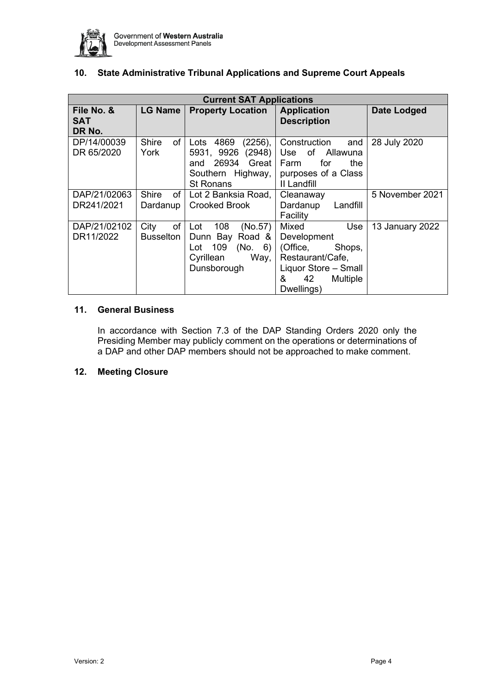

| <b>Current SAT Applications</b>    |                                 |                                                                                                             |                                                                                                    |                    |
|------------------------------------|---------------------------------|-------------------------------------------------------------------------------------------------------------|----------------------------------------------------------------------------------------------------|--------------------|
| File No. &<br><b>SAT</b><br>DR No. | <b>LG Name</b>                  | <b>Property Location</b>                                                                                    | <b>Application</b><br><b>Description</b>                                                           | <b>Date Lodged</b> |
| DP/14/00039<br>DR 65/2020          | <b>Shire</b><br>of I<br>York    | 4869<br>(2256),<br>Lots<br>(2948)<br>5931, 9926<br>and 26934 Great<br>Southern Highway,<br><b>St Ronans</b> | Construction<br>and<br>Use of Allawuna<br>Farm<br>for<br>the<br>purposes of a Class<br>II Landfill | 28 July 2020       |
| DAP/21/02063                       | <b>Shire</b><br>of <sub>1</sub> | Lot 2 Banksia Road,                                                                                         | Cleanaway                                                                                          | 5 November 2021    |
| DR241/2021                         | Dardanup                        | <b>Crooked Brook</b>                                                                                        | Dardanup<br>Landfill<br>Facility                                                                   |                    |
| DAP/21/02102                       | of<br>City                      | 108<br>(No.57)<br>Lot                                                                                       | Mixed<br>Use                                                                                       | 13 January 2022    |
| DR11/2022                          | <b>Busselton</b>                | Dunn Bay Road &                                                                                             | Development                                                                                        |                    |
|                                    |                                 | 109<br>(No. 6)<br>Lot                                                                                       | (Office,<br>Shops,                                                                                 |                    |
|                                    |                                 | Cyrillean<br>Way,                                                                                           | Restaurant/Cafe,                                                                                   |                    |
|                                    |                                 | Dunsborough                                                                                                 | Liquor Store - Small                                                                               |                    |
|                                    |                                 |                                                                                                             | &<br>42<br><b>Multiple</b>                                                                         |                    |
|                                    |                                 |                                                                                                             | Dwellings)                                                                                         |                    |

## **10. State Administrative Tribunal Applications and Supreme Court Appeals**

## **11. General Business**

In accordance with Section 7.3 of the DAP Standing Orders 2020 only the Presiding Member may publicly comment on the operations or determinations of a DAP and other DAP members should not be approached to make comment.

## **12. Meeting Closure**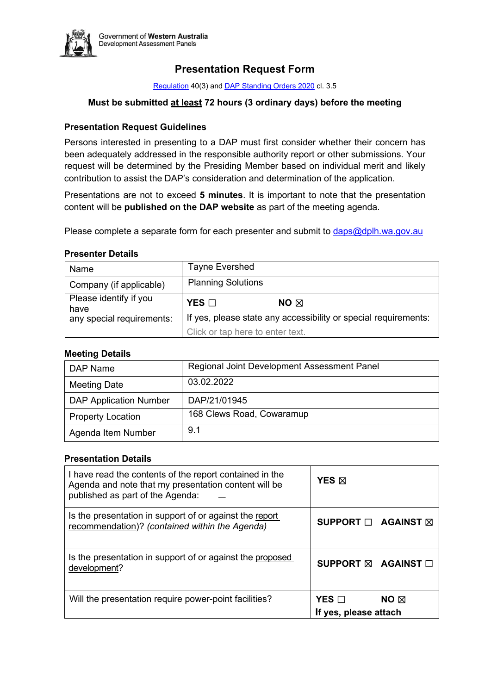

## **Presentation Request Form**

[Regulatio](https://www.dplh.wa.gov.au/getmedia/834d1aa3-cf7a-4186-a1b1-104b2d17eb31/DAP-Regulations)[n 40\(3\) and DAP Standing Orders 2020](https://www.dplh.wa.gov.au/getmedia/7b2de614-2f2b-41d6-aff3-f149ba8a093d/Standing-Orders-(website-published)) cl. 3.5

## **Must be submitted at least 72 hours (3 ordinary days) before the meeting**

## **Presentation Request Guidelines**

Persons interested in presenting to a DAP must first consider whether their concern has been adequately addressed in the responsible authority report or other submissions. Your request will be determined by the Presiding Member based on individual merit and likely contribution to assist the DAP's consideration and determination of the application.

Presentations are not to exceed **5 minutes**. It is important to note that the presentation content will be **published on the DAP website** as part of the meeting agenda.

Please complete a separate form for each presenter and submit t[o daps@dplh.wa.gov.au](mailto:daps@dplh.wa.gov.au)

## **Presenter Details**

| Name                           | Tayne Evershed                                                                                      |  |
|--------------------------------|-----------------------------------------------------------------------------------------------------|--|
| Company (if applicable)        | <b>Planning Solutions</b>                                                                           |  |
| Please identify if you<br>have | $YES$ $\square$<br>NO $\boxtimes$                                                                   |  |
| any special requirements:      | If yes, please state any accessibility or special requirements:<br>Click or tap here to enter text. |  |
|                                |                                                                                                     |  |

## **Meeting Details**

| DAP Name                      | Regional Joint Development Assessment Panel |
|-------------------------------|---------------------------------------------|
| <b>Meeting Date</b>           | 03.02.2022                                  |
| <b>DAP Application Number</b> | DAP/21/01945                                |
| <b>Property Location</b>      | 168 Clews Road, Cowaramup                   |
| Agenda Item Number            | 9.1                                         |

## **Presentation Details**

| I have read the contents of the report contained in the<br>Agenda and note that my presentation content will be<br>published as part of the Agenda: | YES <b>M</b>                                          |
|-----------------------------------------------------------------------------------------------------------------------------------------------------|-------------------------------------------------------|
| Is the presentation in support of or against the report<br>recommendation)? (contained within the Agenda)                                           | SUPPORT □ AGAINST ⊠                                   |
| Is the presentation in support of or against the proposed<br>development?                                                                           | SUPPORT ⊠ AGAINST □                                   |
| Will the presentation require power-point facilities?                                                                                               | YES $\Box$<br>$NO \boxtimes$<br>If yes, please attach |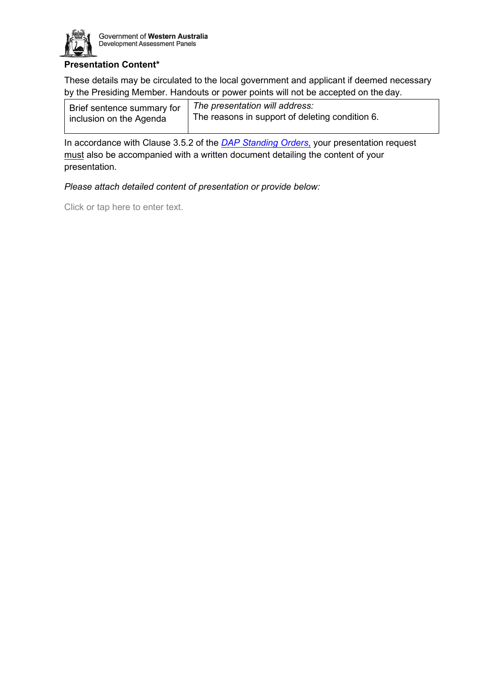

## **Presentation Content\***

These details may be circulated to the local government and applicant if deemed necessary by the Presiding Member. Handouts or power points will not be accepted on the day.

| Brief sentence summary for<br>inclusion on the Agenda | The presentation will address:                  |
|-------------------------------------------------------|-------------------------------------------------|
|                                                       | The reasons in support of deleting condition 6. |

In accordance with Clause 3.5.2 of the *[DAP Standing Orders](https://www.dplh.wa.gov.au/getmedia/7b2de614-2f2b-41d6-aff3-f149ba8a093d/Standing-Orders-(website-published))*, your presentation request must also be accompanied with a written document detailing the content of your presentation.

*Please attach detailed content of presentation or provide below:* 

Click or tap here to enter text.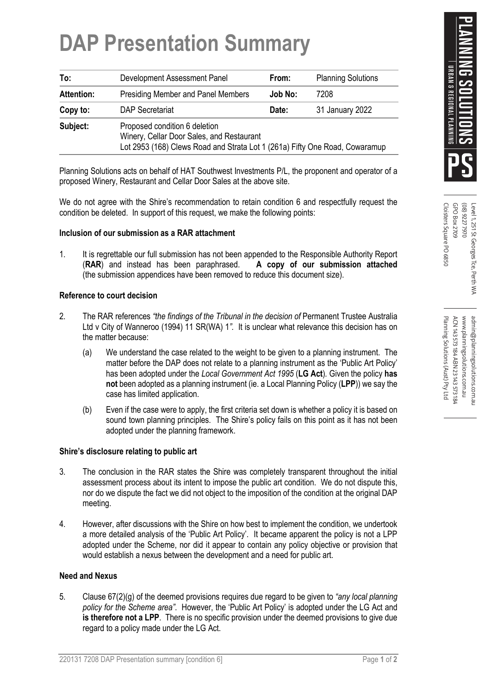# **DAP Presentation Summary**

| To:               | Development Assessment Panel                                                                                                                              | From:   | <b>Planning Solutions</b> |
|-------------------|-----------------------------------------------------------------------------------------------------------------------------------------------------------|---------|---------------------------|
| <b>Attention:</b> | <b>Presiding Member and Panel Members</b>                                                                                                                 | Job No: | 7208                      |
| Copy to:          | <b>DAP Secretariat</b>                                                                                                                                    | Date:   | 31 January 2022           |
| Subject:          | Proposed condition 6 deletion<br>Winery, Cellar Door Sales, and Restaurant<br>Lot 2953 (168) Clews Road and Strata Lot 1 (261a) Fifty One Road, Cowaramup |         |                           |

Planning Solutions acts on behalf of HAT Southwest Investments P/L, the proponent and operator of a proposed Winery, Restaurant and Cellar Door Sales at the above site.

We do not agree with the Shire's recommendation to retain condition 6 and respectfully request the condition be deleted. In support of this request, we make the following points:

## **Inclusion of our submission as a RAR attachment**

1. It is regrettable our full submission has not been appended to the Responsible Authority Report (**RAR**) and instead has been paraphrased. **A copy of our submission attached**  (the submission appendices have been removed to reduce this document size).

## **Reference to court decision**

- 2. The RAR references *"the findings of the Tribunal in the decision of* Permanent Trustee Australia Ltd v City of Wanneroo (1994) 11 SR(WA) 1*".* It is unclear what relevance this decision has on the matter because:
	- (a) We understand the case related to the weight to be given to a planning instrument. The matter before the DAP does not relate to a planning instrument as the 'Public Art Policy' has been adopted under the *Local Government Act 1995* (**LG Act**)*.* Given the policy **has not** been adopted as a planning instrument (ie. a Local Planning Policy (**LPP**)) we say the case has limited application.
	- (b) Even if the case were to apply, the first criteria set down is whether a policy it is based on sound town planning principles. The Shire's policy fails on this point as it has not been adopted under the planning framework.

## **Shire's disclosure relating to public art**

- 3. The conclusion in the RAR states the Shire was completely transparent throughout the initial assessment process about its intent to impose the public art condition. We do not dispute this, nor do we dispute the fact we did not object to the imposition of the condition at the original DAP meeting.
- 4. However, after discussions with the Shire on how best to implement the condition, we undertook a more detailed analysis of the 'Public Art Policy'. It became apparent the policy is not a LPP adopted under the Scheme, nor did it appear to contain any policy objective or provision that would establish a nexus between the development and a need for public art.

## **Need and Nexus**

5. Clause 67(2)(g) of the deemed provisions requires due regard to be given to *"any local planning policy for the Scheme area"*. However, the 'Public Art Policy' is adopted under the LG Act and **is therefore not a LPP**. There is no specific provision under the deemed provisions to give due regard to a policy made under the LG Act.

Cloisters Square PO 6850 GPO Box 2709 Cloisters Square PO 6850 GPO Box 2709 026777970 (08) 9227 7970 Level 1, 251 St Georges Tce, Perth WA Level 1, 251 St Georges Tce, Perth WA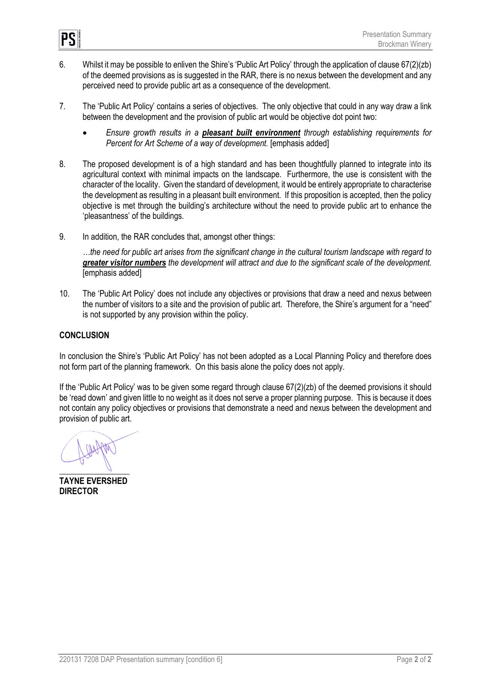

- 6. Whilst it may be possible to enliven the Shire's 'Public Art Policy' through the application of clause 67(2)(zb) of the deemed provisions as is suggested in the RAR, there is no nexus between the development and any perceived need to provide public art as a consequence of the development.
- 7. The 'Public Art Policy' contains a series of objectives. The only objective that could in any way draw a link between the development and the provision of public art would be objective dot point two:
	- *Ensure growth results in a pleasant built environment through establishing requirements for Percent for Art Scheme of a way of development.* [emphasis added]
- 8. The proposed development is of a high standard and has been thoughtfully planned to integrate into its agricultural context with minimal impacts on the landscape. Furthermore, the use is consistent with the character of the locality. Given the standard of development, it would be entirely appropriate to characterise the development as resulting in a pleasant built environment. If this proposition is accepted, then the policy objective is met through the building's architecture without the need to provide public art to enhance the 'pleasantness' of the buildings.
- 9. In addition, the RAR concludes that, amongst other things:

*…the need for public art arises from the significant change in the cultural tourism landscape with regard to greater visitor numbers the development will attract and due to the significant scale of the development.*  [emphasis added]

10. The 'Public Art Policy' does not include any objectives or provisions that draw a need and nexus between the number of visitors to a site and the provision of public art. Therefore, the Shire's argument for a "need" is not supported by any provision within the policy.

## **CONCLUSION**

In conclusion the Shire's 'Public Art Policy' has not been adopted as a Local Planning Policy and therefore does not form part of the planning framework. On this basis alone the policy does not apply.

If the 'Public Art Policy' was to be given some regard through clause 67(2)(zb) of the deemed provisions it should be 'read down' and given little to no weight as it does not serve a proper planning purpose. This is because it does not contain any policy objectives or provisions that demonstrate a need and nexus between the development and provision of public art.

**\_\_\_\_\_\_\_\_\_\_\_\_\_\_\_\_\_** 

**TAYNE EVERSHED DIRECTOR**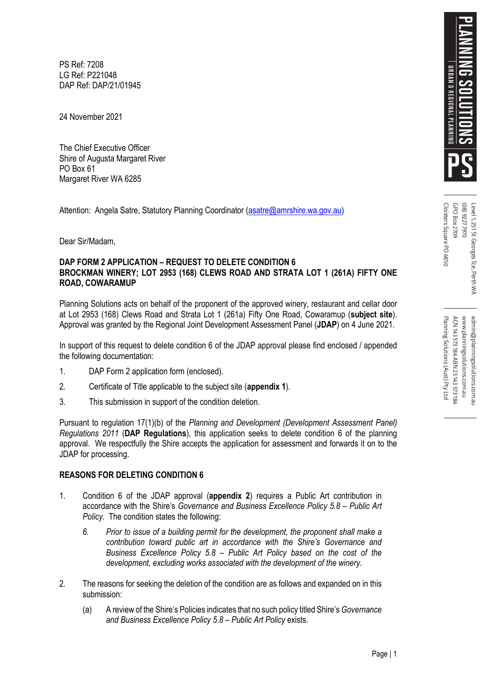PS Ref: 7208 LG Ref: P221048 DAP Ref: DAP/21/01945

24 November 2021

The Chief Executive Officer Shire of Augusta Margaret River PO Box 61 Margaret River WA 6285

Attention: Angela Satre, Statutory Planning Coordinator [\(asatre@amrshire.wa.gov.au](mailto:asatre@amrshire.wa.gov.au))

Dear Sir/Madam,

## **DAP FORM 2 APPLICATION – REQUEST TO DELETE CONDITION 6 BROCKMAN WINERY; LOT 2953 (168) CLEWS ROAD AND STRATA LOT 1 (261A) FIFTY ONE ROAD, COWARAMUP**

Planning Solutions acts on behalf of the proponent of the approved winery, restaurant and cellar door at Lot 2953 (168) Clews Road and Strata Lot 1 (261a) Fifty One Road, Cowaramup (**subject site**). Approval was granted by the Regional Joint Development Assessment Panel (**JDAP**) on 4 June 2021.

In support of this request to delete condition 6 of the JDAP approval please find enclosed / appended the following documentation:

- 1. DAP Form 2 application form (enclosed).
- 2. Certificate of Title applicable to the subject site (**appendix 1**).
- 3. This submission in support of the condition deletion.

Pursuant to regulation 17(1)(b) of the *Planning and Development (Development Assessment Panel) Regulations 2011* (**DAP Regulations**), this application seeks to delete condition 6 of the planning approval. We respectfully the Shire accepts the application for assessment and forwards it on to the JDAP for processing.

## **REASONS FOR DELETING CONDITION 6**

- 1. Condition 6 of the JDAP approval (**appendix 2**) requires a Public Art contribution in accordance with the Shire's *Governance and Business Excellence Policy 5.8 – Public Art Policy.* The condition states the following:
	- *6. Prior to issue of a building permit for the development, the proponent shall make a contribution toward public art in accordance with the Shire's Governance and Business Excellence Policy 5.8 – Public Art Policy based on the cost of the development, excluding works associated with the development of the winery.*
- 2. The reasons for seeking the deletion of the condition are as follows and expanded on in this submission:
	- (a) A review of the Shire's Policies indicates that no such policy titled Shire's *Governance and Business Excellence Policy 5.8 – Public Art Policy* exists.

Cloisters Square PO 6850 GPO Box 2709 Cloisters Square PO 6850 GPO Box 2709 026777970 (08) 9227 7970 Level 1, 251 St Georges Tce, Perth WA Level 1, 251 St Georges Tce, Perth WA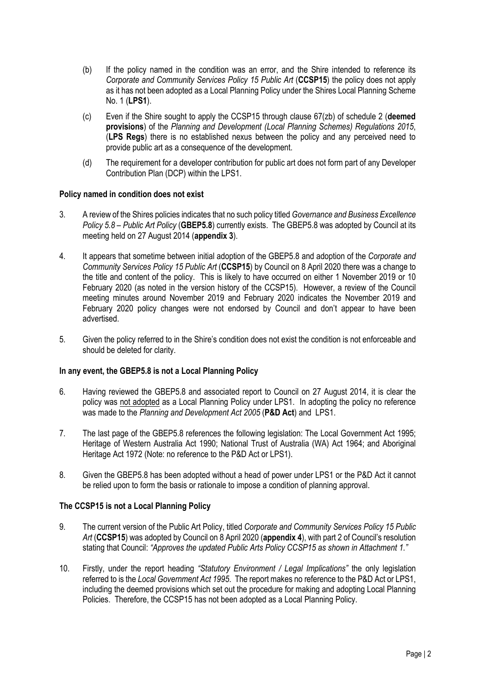- (b) If the policy named in the condition was an error, and the Shire intended to reference its *Corporate and Community Services Policy 15 Public Art* (**CCSP15**) the policy does not apply as it has not been adopted as a Local Planning Policy under the Shires Local Planning Scheme No. 1 (**LPS1**).
- (c) Even if the Shire sought to apply the CCSP15 through clause 67(zb) of schedule 2 (**deemed provisions**) of the *Planning and Development (Local Planning Schemes) Regulations 2015*, (**LPS Regs**) there is no established nexus between the policy and any perceived need to provide public art as a consequence of the development.
- (d) The requirement for a developer contribution for public art does not form part of any Developer Contribution Plan (DCP) within the LPS1.

## **Policy named in condition does not exist**

- 3. A review of the Shires policies indicates that no such policy titled *Governance and Business Excellence Policy 5.8 – Public Art Policy* (**GBEP5.8**) currently exists. The GBEP5.8 was adopted by Council at its meeting held on 27 August 2014 (**appendix 3**).
- 4. It appears that sometime between initial adoption of the GBEP5.8 and adoption of the *Corporate and Community Services Policy 15 Public Art* (**CCSP15**) by Council on 8 April 2020 there was a change to the title and content of the policy. This is likely to have occurred on either 1 November 2019 or 10 February 2020 (as noted in the version history of the CCSP15). However, a review of the Council meeting minutes around November 2019 and February 2020 indicates the November 2019 and February 2020 policy changes were not endorsed by Council and don't appear to have been advertised.
- 5. Given the policy referred to in the Shire's condition does not exist the condition is not enforceable and should be deleted for clarity.

## **In any event, the GBEP5.8 is not a Local Planning Policy**

- 6. Having reviewed the GBEP5.8 and associated report to Council on 27 August 2014, it is clear the policy was not adopted as a Local Planning Policy under LPS1. In adopting the policy no reference was made to the *Planning and Development Act 2005* (**P&D Act**) and LPS1.
- 7. The last page of the GBEP5.8 references the following legislation: The Local Government Act 1995; Heritage of Western Australia Act 1990; National Trust of Australia (WA) Act 1964; and Aboriginal Heritage Act 1972 (Note: no reference to the P&D Act or LPS1).
- 8. Given the GBEP5.8 has been adopted without a head of power under LPS1 or the P&D Act it cannot be relied upon to form the basis or rationale to impose a condition of planning approval.

## **The CCSP15 is not a Local Planning Policy**

- 9. The current version of the Public Art Policy, titled *Corporate and Community Services Policy 15 Public Art* (**CCSP15**) was adopted by Council on 8 April 2020 (**appendix 4**), with part 2 of Council's resolution stating that Council: *"Approves the updated Public Arts Policy CCSP15 as shown in Attachment 1."*
- 10. Firstly, under the report heading *"Statutory Environment / Legal Implications"* the only legislation referred to is the *Local Government Act 1995*. The report makes no reference to the P&D Act or LPS1, including the deemed provisions which set out the procedure for making and adopting Local Planning Policies. Therefore, the CCSP15 has not been adopted as a Local Planning Policy.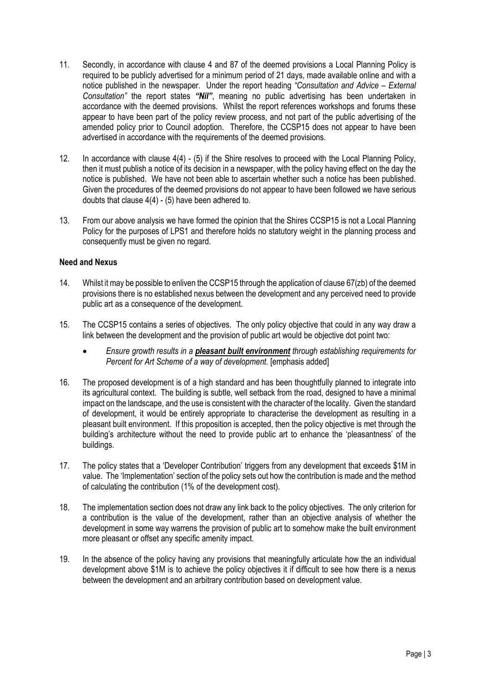- 11. Secondly, in accordance with clause 4 and 87 of the deemed provisions a Local Planning Policy is required to be publicly advertised for a minimum period of 21 days, made available online and with a notice published in the newspaper. Under the report heading *"Consultation and Advice – External Consultation"* the report states *"Nil"*, meaning no public advertising has been undertaken in accordance with the deemed provisions. Whilst the report references workshops and forums these appear to have been part of the policy review process, and not part of the public advertising of the amended policy prior to Council adoption. Therefore, the CCSP15 does not appear to have been advertised in accordance with the requirements of the deemed provisions.
- 12. In accordance with clause 4(4) (5) if the Shire resolves to proceed with the Local Planning Policy, then it must publish a notice of its decision in a newspaper, with the policy having effect on the day the notice is published. We have not been able to ascertain whether such a notice has been published. Given the procedures of the deemed provisions do not appear to have been followed we have serious doubts that clause  $4(4)$  - (5) have been adhered to.
- 13. From our above analysis we have formed the opinion that the Shires CCSP15 is not a Local Planning Policy for the purposes of LPS1 and therefore holds no statutory weight in the planning process and consequently must be given no regard.

## **Need and Nexus**

- 14. Whilst it may be possible to enliven the CCSP15 through the application of clause 67(zb) of the deemed provisions there is no established nexus between the development and any perceived need to provide public art as a consequence of the development.
- 15. The CCSP15 contains a series of objectives. The only policy objective that could in any way draw a link between the development and the provision of public art would be objective dot point two:
	- *Ensure growth results in a pleasant built environment through establishing requirements for Percent for Art Scheme of a way of development.* [emphasis added]
- 16. The proposed development is of a high standard and has been thoughtfully planned to integrate into its agricultural context. The building is subtle, well setback from the road, designed to have a minimal impact on the landscape, and the use is consistent with the character of the locality. Given the standard of development, it would be entirely appropriate to characterise the development as resulting in a pleasant built environment. If this proposition is accepted, then the policy objective is met through the building's architecture without the need to provide public art to enhance the 'pleasantness' of the buildings.
- 17. The policy states that a 'Developer Contribution' triggers from any development that exceeds \$1M in value. The 'Implementation' section of the policy sets out how the contribution is made and the method of calculating the contribution (1% of the development cost).
- 18. The implementation section does not draw any link back to the policy objectives. The only criterion for a contribution is the value of the development, rather than an objective analysis of whether the development in some way warrens the provision of public art to somehow make the built environment more pleasant or offset any specific amenity impact.
- 19. In the absence of the policy having any provisions that meaningfully articulate how the an individual development above \$1M is to achieve the policy objectives it if difficult to see how there is a nexus between the development and an arbitrary contribution based on development value.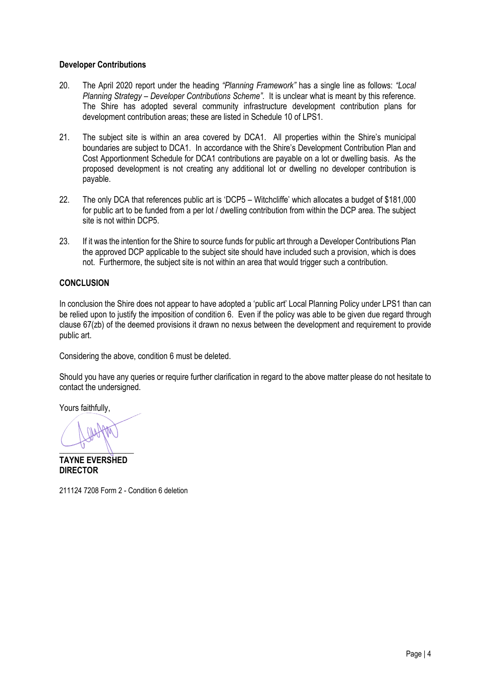## **Developer Contributions**

- 20. The April 2020 report under the heading *"Planning Framework"* has a single line as follows: *"Local Planning Strategy – Developer Contributions Scheme"*. It is unclear what is meant by this reference. The Shire has adopted several community infrastructure development contribution plans for development contribution areas; these are listed in Schedule 10 of LPS1.
- 21. The subject site is within an area covered by DCA1. All properties within the Shire's municipal boundaries are subject to DCA1. In accordance with the Shire's Development Contribution Plan and Cost Apportionment Schedule for DCA1 contributions are payable on a lot or dwelling basis. As the proposed development is not creating any additional lot or dwelling no developer contribution is payable.
- 22. The only DCA that references public art is 'DCP5 Witchcliffe' which allocates a budget of \$181,000 for public art to be funded from a per lot / dwelling contribution from within the DCP area. The subject site is not within DCP5.
- 23. If it was the intention for the Shire to source funds for public art through a Developer Contributions Plan the approved DCP applicable to the subject site should have included such a provision, which is does not. Furthermore, the subject site is not within an area that would trigger such a contribution.

## **CONCLUSION**

In conclusion the Shire does not appear to have adopted a 'public art' Local Planning Policy under LPS1 than can be relied upon to justify the imposition of condition 6. Even if the policy was able to be given due regard through clause 67(zb) of the deemed provisions it drawn no nexus between the development and requirement to provide public art.

Considering the above, condition 6 must be deleted.

Should you have any queries or require further clarification in regard to the above matter please do not hesitate to contact the undersigned.

Yours faithfully,

 $\frac{1}{2}$ 

**TAYNE EVERSHED DIRECTOR** 

211124 7208 Form 2 - Condition 6 deletion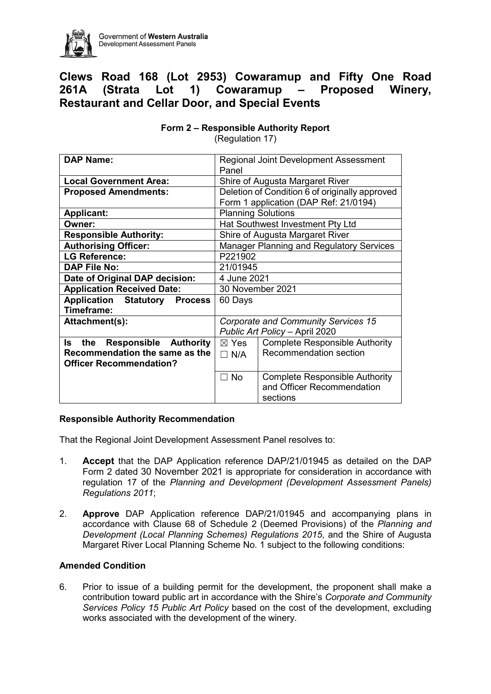<span id="page-12-1"></span><span id="page-12-0"></span>

Government of Western Australia Development Assessment Panels

# **Clews Road 168 (Lot 2953) Cowaramup and Fifty One Road 261A (Strata Lot 1) Cowaramup – Proposed Winery, Restaurant and Cellar Door, and Special Events**

| <b>DAP Name:</b>                              | Regional Joint Development Assessment                    |  |  |
|-----------------------------------------------|----------------------------------------------------------|--|--|
|                                               | Panel                                                    |  |  |
| <b>Local Government Area:</b>                 | Shire of Augusta Margaret River                          |  |  |
| <b>Proposed Amendments:</b>                   | Deletion of Condition 6 of originally approved           |  |  |
|                                               | Form 1 application (DAP Ref: 21/0194)                    |  |  |
| <b>Applicant:</b>                             | <b>Planning Solutions</b>                                |  |  |
| Owner:                                        | Hat Southwest Investment Pty Ltd                         |  |  |
| <b>Responsible Authority:</b>                 | Shire of Augusta Margaret River                          |  |  |
| <b>Authorising Officer:</b>                   | <b>Manager Planning and Regulatory Services</b>          |  |  |
| <b>LG Reference:</b>                          | P221902                                                  |  |  |
| <b>DAP File No:</b>                           | 21/01945                                                 |  |  |
| Date of Original DAP decision:<br>4 June 2021 |                                                          |  |  |
| <b>Application Received Date:</b>             | 30 November 2021                                         |  |  |
| <b>Application Statutory Process</b>          | 60 Days                                                  |  |  |
| Timeframe:                                    |                                                          |  |  |
| Attachment(s):                                | <b>Corporate and Community Services 15</b>               |  |  |
|                                               | Public Art Policy - April 2020                           |  |  |
| <b>Responsible Authority</b><br>ls<br>the     | <b>Complete Responsible Authority</b><br>$\boxtimes$ Yes |  |  |
| Recommendation the same as the                | Recommendation section<br>$\Box$ N/A                     |  |  |
| <b>Officer Recommendation?</b>                |                                                          |  |  |
|                                               | <b>Complete Responsible Authority</b><br>$\Box$ No       |  |  |
|                                               | and Officer Recommendation                               |  |  |
|                                               | sections                                                 |  |  |

## **Form 2 – Responsible Authority Report**

(Regulation 17)

## **Responsible Authority Recommendation**

That the Regional Joint Development Assessment Panel resolves to:

- 1. **Accept** that the DAP Application reference DAP/21/01945 as detailed on the DAP Form 2 dated 30 November 2021 is appropriate for consideration in accordance with regulation 17 of the *Planning and Development (Development Assessment Panels) Regulations 2011*;
- 2. **Approve** DAP Application reference DAP/21/01945 and accompanying plans in accordance with Clause 68 of Schedule 2 (Deemed Provisions) of the *Planning and Development (Local Planning Schemes) Regulations 2015*, and the Shire of Augusta Margaret River Local Planning Scheme No. 1 subject to the following conditions:

## **Amended Condition**

6. Prior to issue of a building permit for the development, the proponent shall make a contribution toward public art in accordance with the Shire's *Corporate and Community Services Policy 15 Public Art Policy* based on the cost of the development, excluding works associated with the development of the winery.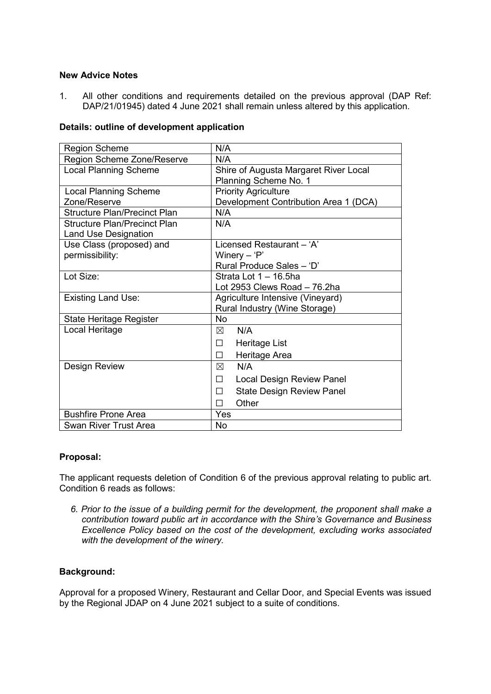## **New Advice Notes**

1. All other conditions and requirements detailed on the previous approval (DAP Ref: DAP/21/01945) dated 4 June 2021 shall remain unless altered by this application.

## **Details: outline of development application**

| <b>Region Scheme</b>                | N/A                                   |
|-------------------------------------|---------------------------------------|
| Region Scheme Zone/Reserve          | N/A                                   |
| <b>Local Planning Scheme</b>        | Shire of Augusta Margaret River Local |
|                                     | Planning Scheme No. 1                 |
| <b>Local Planning Scheme</b>        | <b>Priority Agriculture</b>           |
| Zone/Reserve                        | Development Contribution Area 1 (DCA) |
| <b>Structure Plan/Precinct Plan</b> | N/A                                   |
| <b>Structure Plan/Precinct Plan</b> | N/A                                   |
| <b>Land Use Designation</b>         |                                       |
| Use Class (proposed) and            | Licensed Restaurant - 'A'             |
| permissibility:                     | Winery $-$ 'P'                        |
|                                     | Rural Produce Sales - 'D'             |
| Lot Size:                           | Strata Lot 1 - 16.5ha                 |
|                                     | Lot 2953 Clews Road $-76.2$ ha        |
| <b>Existing Land Use:</b>           | Agriculture Intensive (Vineyard)      |
|                                     | Rural Industry (Wine Storage)         |
| <b>State Heritage Register</b>      | <b>No</b>                             |
| Local Heritage                      | N/A<br>⊠                              |
|                                     | Heritage List<br>П                    |
|                                     | Heritage Area<br>П                    |
| Design Review                       | N/A<br>冈                              |
|                                     | <b>Local Design Review Panel</b><br>П |
|                                     | <b>State Design Review Panel</b><br>П |
|                                     | Other<br>П                            |
| <b>Bushfire Prone Area</b>          | Yes                                   |
| <b>Swan River Trust Area</b>        | No.                                   |

## **Proposal:**

The applicant requests deletion of Condition 6 of the previous approval relating to public art. Condition 6 reads as follows:

*6. Prior to the issue of a building permit for the development, the proponent shall make a contribution toward public art in accordance with the Shire's Governance and Business Excellence Policy based on the cost of the development, excluding works associated with the development of the winery.* 

## **Background:**

Approval for a proposed Winery, Restaurant and Cellar Door, and Special Events was issued by the Regional JDAP on 4 June 2021 subject to a suite of conditions.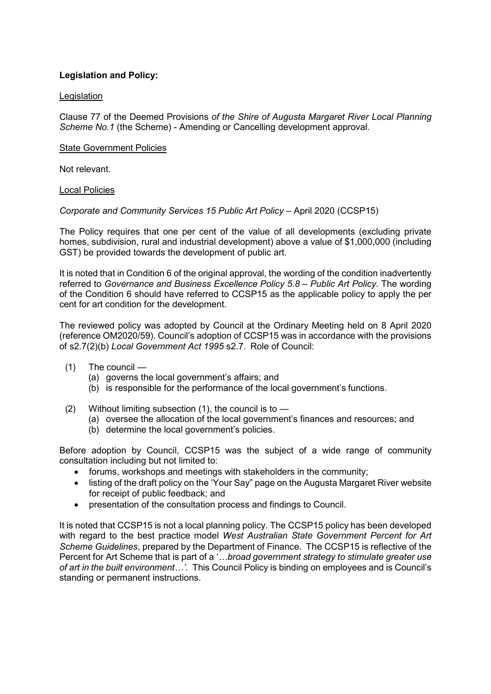## **Legislation and Policy:**

## **Legislation**

Clause 77 of the Deemed Provisions *of the Shire of Augusta Margaret River Local Planning Scheme No.1* (the Scheme) - Amending or Cancelling development approval.

## State Government Policies

Not relevant.

## Local Policies

## *Corporate and Community Services 15 Public Art Policy* – April 2020 (CCSP15)

The Policy requires that one per cent of the value of all developments (excluding private homes, subdivision, rural and industrial development) above a value of \$1,000,000 (including GST) be provided towards the development of public art.

It is noted that in Condition 6 of the original approval, the wording of the condition inadvertently referred to *Governance and Business Excellence Policy 5.8 – Public Art Policy.* The wording of the Condition 6 should have referred to CCSP15 as the applicable policy to apply the per cent for art condition for the development.

The reviewed policy was adopted by Council at the Ordinary Meeting held on 8 April 2020 (reference OM2020/59). Council's adoption of CCSP15 was in accordance with the provisions of s2.7(2)(b) *Local Government Act 1995* s2.7. Role of Council:

- (1) The council
	- (a) governs the local government's affairs; and
	- (b) is responsible for the performance of the local government's functions.
- (2) Without limiting subsection  $(1)$ , the council is to  $-$ 
	- (a) oversee the allocation of the local government's finances and resources; and
	- (b) determine the local government's policies.

Before adoption by Council, CCSP15 was the subject of a wide range of community consultation including but not limited to:

- forums, workshops and meetings with stakeholders in the community;
- listing of the draft policy on the 'Your Say" page on the Augusta Margaret River website for receipt of public feedback; and
- presentation of the consultation process and findings to Council.

It is noted that CCSP15 is not a local planning policy. The CCSP15 policy has been developed with regard to the best practice model *West Australian State Government Percent for Art Scheme Guidelines*, prepared by the Department of Finance. The CCSP15 is reflective of the Percent for Art Scheme that is part of a '*…broad government strategy to stimulate greater use of art in the built environment…'*. This Council Policy is binding on employees and is Council's standing or permanent instructions.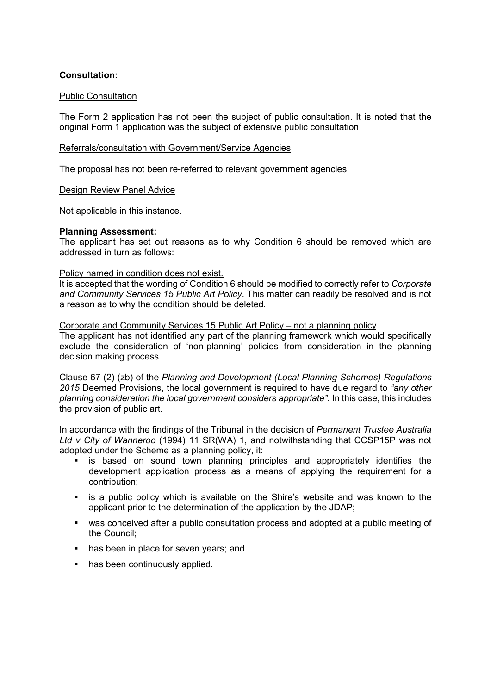## **Consultation:**

## Public Consultation

The Form 2 application has not been the subject of public consultation. It is noted that the original Form 1 application was the subject of extensive public consultation.

## Referrals/consultation with Government/Service Agencies

The proposal has not been re-referred to relevant government agencies.

## Design Review Panel Advice

Not applicable in this instance.

## **Planning Assessment:**

The applicant has set out reasons as to why Condition 6 should be removed which are addressed in turn as follows:

## Policy named in condition does not exist.

It is accepted that the wording of Condition 6 should be modified to correctly refer to *Corporate and Community Services 15 Public Art Policy*. This matter can readily be resolved and is not a reason as to why the condition should be deleted.

## Corporate and Community Services 15 Public Art Policy – not a planning policy

The applicant has not identified any part of the planning framework which would specifically exclude the consideration of 'non-planning' policies from consideration in the planning decision making process.

Clause 67 (2) (zb) of the *Planning and Development (Local Planning Schemes) Regulations 2015* Deemed Provisions, the local government is required to have due regard to *"any other planning consideration the local government considers appropriate".* In this case, this includes the provision of public art.

In accordance with the findings of the Tribunal in the decision of *Permanent Trustee Australia Ltd v City of Wanneroo* (1994) 11 SR(WA) 1, and notwithstanding that CCSP15P was not adopted under the Scheme as a planning policy, it:

- **Example 1** is based on sound town planning principles and appropriately identifies the development application process as a means of applying the requirement for a contribution;
- is a public policy which is available on the Shire's website and was known to the applicant prior to the determination of the application by the JDAP;
- was conceived after a public consultation process and adopted at a public meeting of the Council;
- has been in place for seven years; and
- has been continuously applied.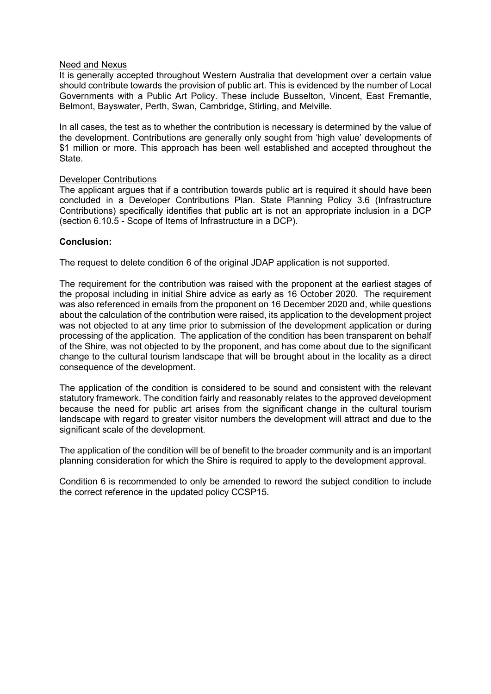## Need and Nexus

It is generally accepted throughout Western Australia that development over a certain value should contribute towards the provision of public art. This is evidenced by the number of Local Governments with a Public Art Policy. These include Busselton, Vincent, East Fremantle, Belmont, Bayswater, Perth, Swan, Cambridge, Stirling, and Melville.

In all cases, the test as to whether the contribution is necessary is determined by the value of the development. Contributions are generally only sought from 'high value' developments of \$1 million or more. This approach has been well established and accepted throughout the State.

## Developer Contributions

The applicant argues that if a contribution towards public art is required it should have been concluded in a Developer Contributions Plan. State Planning Policy 3.6 (Infrastructure Contributions) specifically identifies that public art is not an appropriate inclusion in a DCP (section 6.10.5 - Scope of Items of Infrastructure in a DCP).

## **Conclusion:**

The request to delete condition 6 of the original JDAP application is not supported.

The requirement for the contribution was raised with the proponent at the earliest stages of the proposal including in initial Shire advice as early as 16 October 2020. The requirement was also referenced in emails from the proponent on 16 December 2020 and, while questions about the calculation of the contribution were raised, its application to the development project was not objected to at any time prior to submission of the development application or during processing of the application. The application of the condition has been transparent on behalf of the Shire, was not objected to by the proponent, and has come about due to the significant change to the cultural tourism landscape that will be brought about in the locality as a direct consequence of the development.

The application of the condition is considered to be sound and consistent with the relevant statutory framework. The condition fairly and reasonably relates to the approved development because the need for public art arises from the significant change in the cultural tourism landscape with regard to greater visitor numbers the development will attract and due to the significant scale of the development.

The application of the condition will be of benefit to the broader community and is an important planning consideration for which the Shire is required to apply to the development approval.

Condition 6 is recommended to only be amended to reword the subject condition to include the correct reference in the updated policy CCSP15.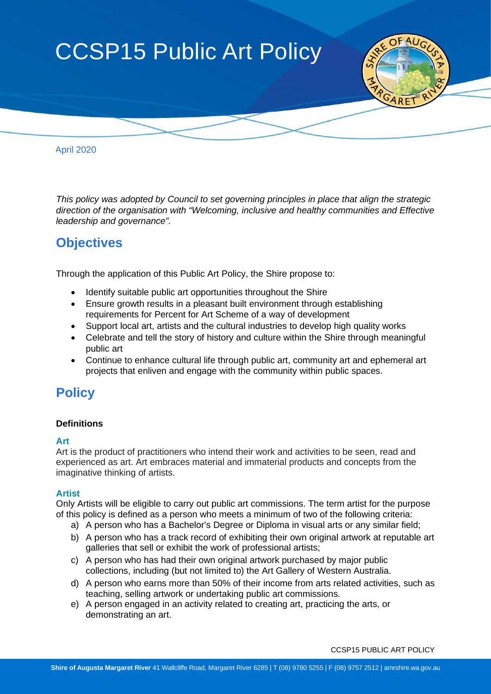

April 2020

 *This policy was adopted by Council to set governing principles in place that align the strategic direction of the organisation with "Welcoming, inclusive and healthy communities and Effective leadership and governance".*

# **Objectives**

Through the application of this Public Art Policy, the Shire propose to:

- Identify suitable public art opportunities throughout the Shire
- Ensure growth results in a pleasant built environment through establishing requirements for Percent for Art Scheme of a way of development
- Support local art, artists and the cultural industries to develop high quality works
- Celebrate and tell the story of history and culture within the Shire through meaningful public art
- Continue to enhance cultural life through public art, community art and ephemeral art projects that enliven and engage with the community within public spaces.

# **Policy**

## **Definitions**

## **Art**

Art is the product of practitioners who intend their work and activities to be seen, read and experienced as art. Art embraces material and immaterial products and concepts from the imaginative thinking of artists.

## **Artist**

Only Artists will be eligible to carry out public art commissions. The term artist for the purpose of this policy is defined as a person who meets a minimum of two of the following criteria:

- a) A person who has a Bachelor's Degree or Diploma in visual arts or any similar field;
- b) A person who has a track record of exhibiting their own original artwork at reputable art galleries that sell or exhibit the work of professional artists;
- c) A person who has had their own original artwork purchased by major public collections, including (but not limited to) the Art Gallery of Western Australia.
- d) A person who earns more than 50% of their income from arts related activities, such as teaching, selling artwork or undertaking public art commissions.
- e) A person engaged in an activity related to creating art, practicing the [arts,](https://en.wikipedia.org/wiki/Arts) or demonstrating an art.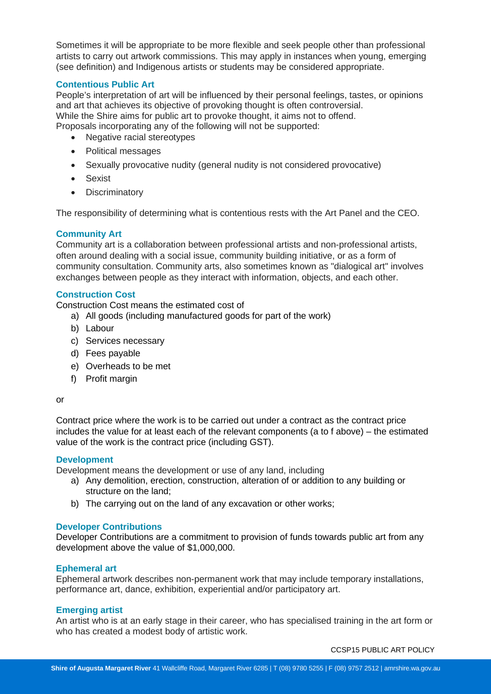Sometimes it will be appropriate to be more flexible and seek people other than professional artists to carry out artwork commissions. This may apply in instances when young, emerging (see definition) and Indigenous artists or students may be considered appropriate.

## **Contentious Public Art**

People's interpretation of art will be influenced by their personal feelings, tastes, or opinions and art that achieves its objective of provoking thought is often controversial. While the Shire aims for public art to provoke thought, it aims not to offend. Proposals incorporating any of the following will not be supported:

- Negative racial stereotypes
- Political messages
- Sexually provocative nudity (general nudity is not considered provocative)
- Sexist
- **Discriminatory**

The responsibility of determining what is contentious rests with the Art Panel and the CEO.

## **Community Art**

Community art is a collaboration between professional artists and non-professional artists, often around dealing with a social issue, community building initiative, or as a form of community consultation. Community arts, also sometimes known as "dialogical art" involves exchanges between people as they interact with information, objects, and each other.

## **Construction Cost**

Construction Cost means the estimated cost of

- a) All goods (including manufactured goods for part of the work)
- b) Labour
- c) Services necessary
- d) Fees payable
- e) Overheads to be met
- f) Profit margin

#### or

Contract price where the work is to be carried out under a contract as the contract price includes the value for at least each of the relevant components (a to f above) – the estimated value of the work is the contract price (including GST).

## **Development**

Development means the development or use of any land, including

- a) Any demolition, erection, construction, alteration of or addition to any building or structure on the land;
- b) The carrying out on the land of any excavation or other works;

## **Developer Contributions**

Developer Contributions are a commitment to provision of funds towards public art from any development above the value of \$1,000,000.

## **Ephemeral art**

Ephemeral artwork describes non-permanent work that may include temporary installations, performance art, dance, exhibition, experiential and/or participatory art.

## **Emerging artist**

An artist who is at an early stage in their career, who has specialised training in the art form or who has created a modest body of artistic work.

CCSP15 PUBLIC ART POLICY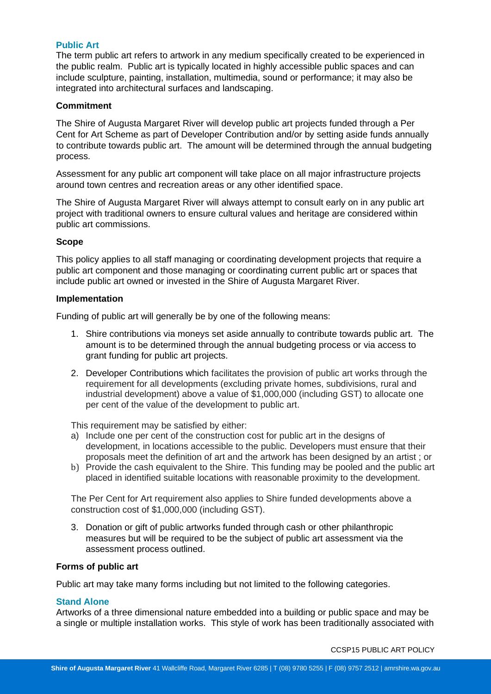## **Public Art**

The term public art refers to artwork in any medium specifically created to be experienced in the public realm. Public art is typically located in highly accessible public spaces and can include sculpture, painting, installation, multimedia, sound or performance; it may also be integrated into architectural surfaces and landscaping.

## **Commitment**

The Shire of Augusta Margaret River will develop public art projects funded through a Per Cent for Art Scheme as part of Developer Contribution and/or by setting aside funds annually to contribute towards public art. The amount will be determined through the annual budgeting process.

Assessment for any public art component will take place on all major infrastructure projects around town centres and recreation areas or any other identified space.

The Shire of Augusta Margaret River will always attempt to consult early on in any public art project with traditional owners to ensure cultural values and heritage are considered within public art commissions.

## **Scope**

This policy applies to all staff managing or coordinating development projects that require a public art component and those managing or coordinating current public art or spaces that include public art owned or invested in the Shire of Augusta Margaret River.

## **Implementation**

Funding of public art will generally be by one of the following means:

- 1. Shire contributions via moneys set aside annually to contribute towards public art. The amount is to be determined through the annual budgeting process or via access to grant funding for public art projects.
- 2. Developer Contributions which facilitates the provision of public art works through the requirement for all developments (excluding private homes, subdivisions, rural and industrial development) above a value of \$1,000,000 (including GST) to allocate one per cent of the value of the development to public art.

This requirement may be satisfied by either:

- a) Include one per cent of the construction cost for public art in the designs of development, in locations accessible to the public. Developers must ensure that their proposals meet the definition of art and the artwork has been designed by an artist ; or
- b) Provide the cash equivalent to the Shire. This funding may be pooled and the public art placed in identified suitable locations with reasonable proximity to the development.

The Per Cent for Art requirement also applies to Shire funded developments above a construction cost of \$1,000,000 (including GST).

3. Donation or gift of public artworks funded through cash or other philanthropic measures but will be required to be the subject of public art assessment via the assessment process outlined.

## **Forms of public art**

Public art may take many forms including but not limited to the following categories.

## **Stand Alone**

Artworks of a three dimensional nature embedded into a building or public space and may be a single or multiple installation works. This style of work has been traditionally associated with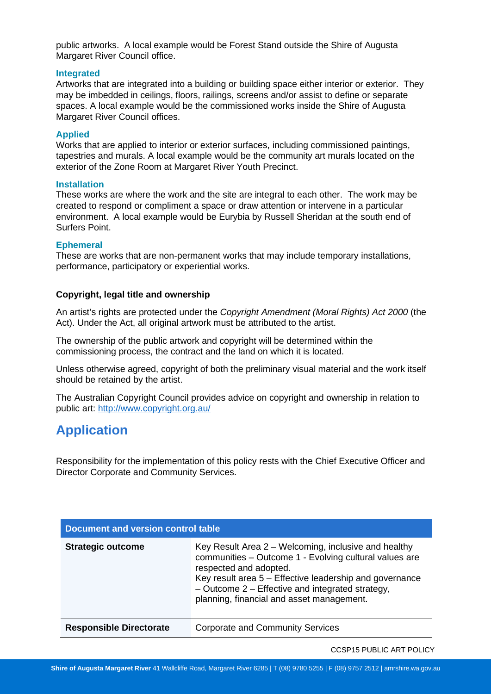public artworks. A local example would be Forest Stand outside the Shire of Augusta Margaret River Council office.

## **Integrated**

Artworks that are integrated into a building or building space either interior or exterior. They may be imbedded in ceilings, floors, railings, screens and/or assist to define or separate spaces. A local example would be the commissioned works inside the Shire of Augusta Margaret River Council offices.

## **Applied**

Works that are applied to interior or exterior surfaces, including commissioned paintings, tapestries and murals. A local example would be the community art murals located on the exterior of the Zone Room at Margaret River Youth Precinct.

## **Installation**

These works are where the work and the site are integral to each other. The work may be created to respond or compliment a space or draw attention or intervene in a particular environment. A local example would be Eurybia by Russell Sheridan at the south end of Surfers Point.

## **Ephemeral**

These are works that are non-permanent works that may include temporary installations, performance, participatory or experiential works.

## **Copyright, legal title and ownership**

An artist's rights are protected under the *Copyright Amendment (Moral Rights) Act 2000* (the Act). Under the Act, all original artwork must be attributed to the artist.

The ownership of the public artwork and copyright will be determined within the commissioning process, the contract and the land on which it is located.

Unless otherwise agreed, copyright of both the preliminary visual material and the work itself should be retained by the artist.

The Australian Copyright Council provides advice on copyright and ownership in relation to public art:<http://www.copyright.org.au/>

# **Application**

Responsibility for the implementation of this policy rests with the Chief Executive Officer and Director Corporate and Community Services.

| Document and version control table |                                                                                                                                                                                                                                                                                                        |  |
|------------------------------------|--------------------------------------------------------------------------------------------------------------------------------------------------------------------------------------------------------------------------------------------------------------------------------------------------------|--|
| <b>Strategic outcome</b>           | Key Result Area 2 – Welcoming, inclusive and healthy<br>communities - Outcome 1 - Evolving cultural values are<br>respected and adopted.<br>Key result area 5 – Effective leadership and governance<br>$-$ Outcome 2 – Effective and integrated strategy,<br>planning, financial and asset management. |  |
| <b>Responsible Directorate</b>     | <b>Corporate and Community Services</b>                                                                                                                                                                                                                                                                |  |

CCSP15 PUBLIC ART POLICY